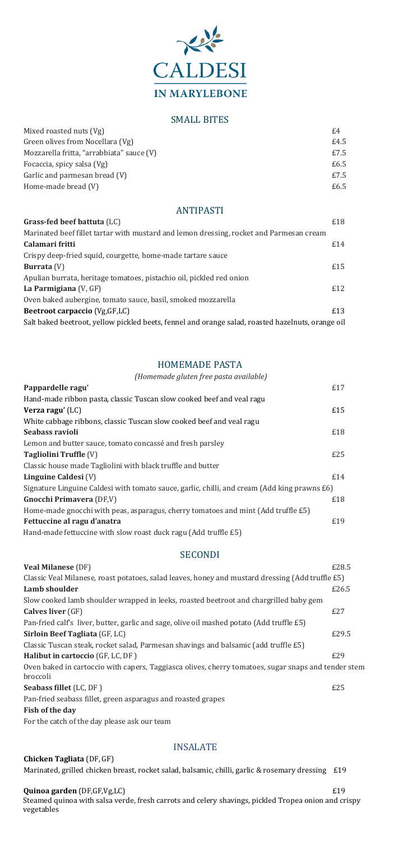

## SMALL BITES

| Mixed roasted nuts (Vg)                   | £4   |
|-------------------------------------------|------|
| Green olives from Nocellara (Vg)          | £4.5 |
| Mozzarella fritta, "arrabbiata" sauce (V) | £7.5 |
| Focaccia, spicy salsa (Vg)                | £6.5 |
| Garlic and parmesan bread (V)             | £7.5 |
| Home-made bread (V)                       | £6.5 |

# ANTIPASTI

| Grass-fed beef battuta (LC)                                                                       | £18 |
|---------------------------------------------------------------------------------------------------|-----|
| Marinated beef fillet tartar with mustard and lemon dressing, rocket and Parmesan cream           |     |
| Calamari fritti                                                                                   | £14 |
| Crispy deep-fried squid, courgette, home-made tartare sauce                                       |     |
| Burrata $(V)$                                                                                     | £15 |
| Apulian burrata, heritage tomatoes, pistachio oil, pickled red onion                              |     |
| La Parmigiana $(V, GF)$                                                                           | £12 |
| Oven baked aubergine, tomato sauce, basil, smoked mozzarella                                      |     |
| <b>Beetroot carpaccio</b> (Vg, GF, LC)                                                            | £13 |
| Salt baked beetroot, yellow pickled beets, fennel and orange salad, roasted hazelnuts, orange oil |     |

# HOMEMADE PASTA

| (Homemade gluten free pasta available)                                                       |  |
|----------------------------------------------------------------------------------------------|--|
| £17<br>Pappardelle ragu'                                                                     |  |
| Hand-made ribbon pasta, classic Tuscan slow cooked beef and veal ragu                        |  |
| £15<br>Verza ragu' $(LC)$                                                                    |  |
| White cabbage ribbons, classic Tuscan slow cooked beef and veal ragu                         |  |
| £18<br>Seabass ravioli                                                                       |  |
| Lemon and butter sauce, tomato concassé and fresh parsley                                    |  |
| £25<br><b>Tagliolini Truffle (V)</b>                                                         |  |
| Classic house made Tagliolini with black truffle and butter                                  |  |
| £14<br>Linguine Caldesi (V)                                                                  |  |
| Signature Linguine Caldesi with tomato sauce, garlic, chilli, and cream (Add king prawns £6) |  |
| £18<br><b>Gnocchi Primavera (DF,V)</b>                                                       |  |
| Home-made gnocchi with peas, asparagus, cherry tomatoes and mint (Add truffle £5)            |  |
| £19<br>Fettuccine al ragu d'anatra                                                           |  |
| Hand-made fettuccine with slow roast duck ragu (Add truffle £5)                              |  |

**Quinoa garden** (DF,GF,Vg,LC)  $£19$  Steamed quinoa with salsa verde, fresh carrots and celery shavings, pickled Tropea onion and crispy vegetables

# SECONDI

**Veal Milanese** (DF)  $£28.5$ Classic Veal Milanese, roast potatoes, salad leaves, honey and mustard dressing (Add truffle £5) **Lamb** shoulder **E26.5** 

| Slow cooked lamb shoulder wrapped in leeks, roasted beetroot and chargrilled baby gem                           |       |  |
|-----------------------------------------------------------------------------------------------------------------|-------|--|
| <b>Calves liver</b> (GF)                                                                                        | E27   |  |
| Pan-fried calf's liver, butter, garlic and sage, olive oil mashed potato (Add truffle £5)                       |       |  |
| Sirloin Beef Tagliata (GF, LC)                                                                                  | £29.5 |  |
| Classic Tuscan steak, rocket salad, Parmesan shavings and balsamic (add truffle £5)                             |       |  |
| Halibut in cartoccio (GF, LC, DF)                                                                               | £29   |  |
| Oven baked in cartoccio with capers, Taggiasca olives, cherry tomatoes, sugar snaps and tender stem<br>broccoli |       |  |
| <b>Seabass fillet</b> (LC, DF)                                                                                  | £25   |  |
| Pan-fried seabass fillet, green asparagus and roasted grapes                                                    |       |  |
| Fish of the day                                                                                                 |       |  |
| For the catch of the day please ask our team                                                                    |       |  |
|                                                                                                                 |       |  |

# INSALATE

#### **Chicken Tagliata** (DF, GF)

Marinated, grilled chicken breast, rocket salad, balsamic, chilli, garlic & rosemary dressing £19